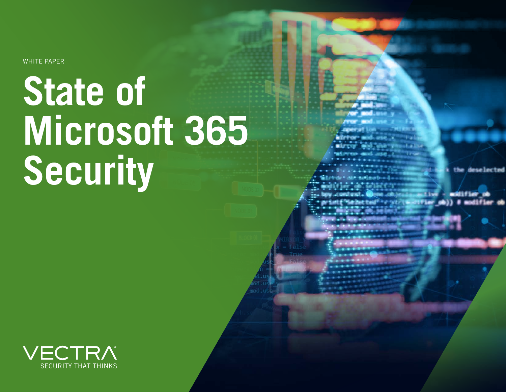WHITE PAPER

# **State of Microsoft 365 Security**

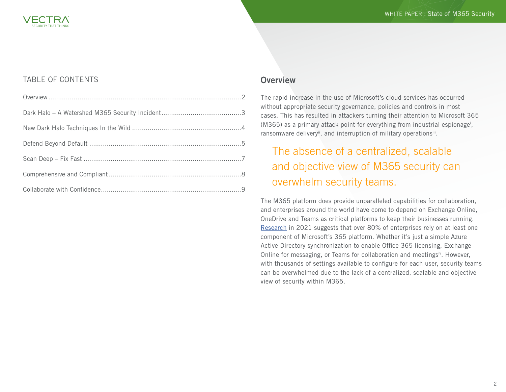#### TABLE OF CONTENTS

#### **Overview**

The rapid increase in the use of Microsoft's cloud services has occurred without appropriate security governance, policies and controls in most cases. This has resulted in attackers turning their attention to Microsoft 365 (M365) as a primary attack point for everything from industrial espionage<sup>i</sup>, ransomware delivery<sup>ii</sup>, and interruption of military operations<sup>iii</sup>.

## The absence of a centralized, scalable and objective view of M365 security can overwhelm security teams.

The M365 platform does provide unparalleled capabilities for collaboration, and enterprises around the world have come to depend on Exchange Online, OneDrive and Teams as critical platforms to keep their businesses running. [Research](https://www.microsoft.com/investor/reports/ar21/index.html) in 2021 suggests that over 80% of enterprises rely on at least one component of Microsoft's 365 platform. Whether it's just a simple Azure Active Directory synchronization to enable Office 365 licensing, Exchange Online for messaging, or Teams for collaboration and meetingsiv. However, with thousands of settings available to configure for each user, security teams can be overwhelmed due to the lack of a centralized, scalable and objective view of security within M365.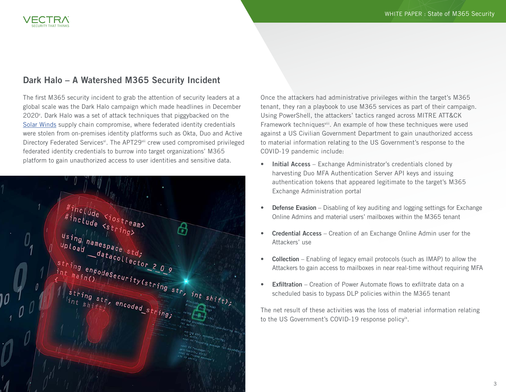#### Dark Halo – A Watershed M365 Security Incident

The first M365 security incident to grab the attention of security leaders at a global scale was the Dark Halo campaign which made headlines in December 2020<sup>°</sup>. Dark Halo was a set of attack techniques that piggybacked on the [Solar Winds](https://www.solarwinds.com/sa-overview/securityadvisory/faq) supply chain compromise, where federated identity credentials were stolen from on-premises identity platforms such as Okta, Duo and Active Directory Federated Services<sup>vi</sup>. The APT29<sup>vii</sup> crew used compromised privileged federated identity credentials to burrow into target organizations' M365 platform to gain unauthorized access to user identities and sensitive data.



Once the attackers had administrative privileges within the target's M365 tenant, they ran a playbook to use M365 services as part of their campaign. Using PowerShell, the attackers' tactics ranged across MITRE ATT&CK Framework techniquesviller. An example of how these techniques were used against a US Civilian Government Department to gain unauthorized access to material information relating to the US Government's response to the COVID-19 pandemic include:

- Initial Access Exchange Administrator's credentials cloned by harvesting Duo MFA Authentication Server API keys and issuing authentication tokens that appeared legitimate to the target's M365 Exchange Administration portal
- **Defense Evasion** Disabling of key auditing and logging settings for Exchange Online Admins and material users' mailboxes within the M365 tenant
- Credential Access Creation of an Exchange Online Admin user for the Attackers' use
- Collection Enabling of legacy email protocols (such as IMAP) to allow the Attackers to gain access to mailboxes in near real-time without requiring MFA
- **Exfiltration** Creation of Power Automate flows to exfiltrate data on a scheduled basis to bypass DLP policies within the M365 tenant

The net result of these activities was the loss of material information relating to the US Government's COVID-19 response policyix.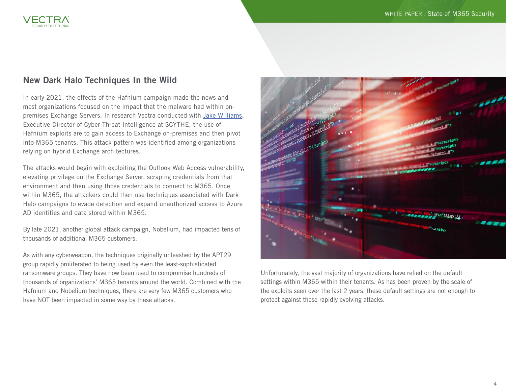

#### New Dark Halo Techniques In the Wild

In early 2021, the effects of the Hafnium campaign made the news and most organizations focused on the impact that the malware had within onpremises Exchange Servers. In research Vectra conducted with [Jake Williams,](https://www.linkedin.com/in/jacob-williams-77938a16/) Executive Director of Cyber Threat Intelligence at SCYTHE, the use of Hafnium exploits are to gain access to Exchange on-premises and then pivot into M365 tenants. This attack pattern was identified among organizations relying on hybrid Exchange architectures.

The attacks would begin with exploiting the Outlook Web Access vulnerability, elevating privilege on the Exchange Server, scraping credentials from that environment and then using those credentials to connect to M365. Once within M365, the attackers could then use techniques associated with Dark Halo campaigns to evade detection and expand unauthorized access to Azure AD identities and data stored within M365.

By late 2021, another global attack campaign, Nobelium, had impacted tens of thousands of additional M365 customers.

As with any cyberweapon, the techniques originally unleashed by the APT29 group rapidly proliferated to being used by even the least-sophisticated ransomware groups. They have now been used to compromise hundreds of thousands of organizations' M365 tenants around the world. Combined with the Hafnium and Nobelium techniques, there are very few M365 customers who have NOT been impacted in some way by these attacks.



Unfortunately, the vast majority of organizations have relied on the default settings within M365 within their tenants. As has been proven by the scale of the exploits seen over the last 2 years, these default settings are not enough to protect against these rapidly evolving attacks.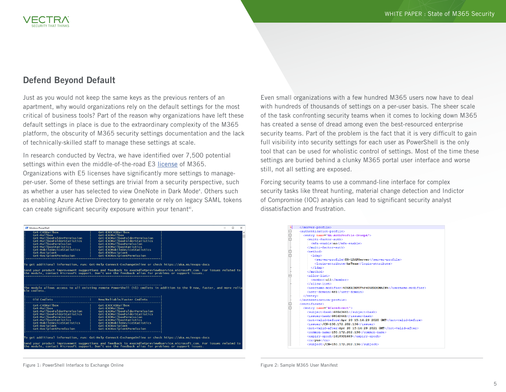#### Defend Beyond Default

Just as you would not keep the same keys as the previous renters of an apartment, why would organizations rely on the default settings for the most critical of business tools? Part of the reason why organizations have left these default settings in place is due to the extraordinary complexity of the M365 platform, the obscurity of M365 security settings documentation and the lack of technically-skilled staff to manage these settings at scale.

In research conducted by Vectra, we have identified over 7,500 potential settings within even the middle-of-the-road E3 [license](https://www.microsoft.com/en-us/microsoft-365/enterprise/e3?activetab=pivot:overviewtab) of M365. Organizations with E5 licenses have significantly more settings to manageper-user. Some of these settings are trivial from a security perspective, such as whether a user has selected to view OneNote in Dark Mode<sup>x</sup>. Others such as enabling Azure Active Directory to generate or rely on legacy SAML tokens can create significant security exposure within your tenantxi.

| <b>27</b> Windows PowerShell                                                                                                                                                                                            |                                                                                                                                                                                                                                                    | п                                                                                                                        |
|-------------------------------------------------------------------------------------------------------------------------------------------------------------------------------------------------------------------------|----------------------------------------------------------------------------------------------------------------------------------------------------------------------------------------------------------------------------------------------------|--------------------------------------------------------------------------------------------------------------------------|
| Get-CASMailbox<br>Get-Mailbox<br>Get-MailboxFolderPermission<br>Get-MailboxFolderStatistics<br>Get-MailboxPermission<br>Get-MailboxStatistics<br>Get-MobileDeviceStatistics<br>Get-Recipient<br>Get-RecipientPermission | Get-EXOCASMailbox<br>Get-EXOMailbox<br>Get-EXOMailboxFolderPermission<br>Get-EXOMailboxFolderStatistics<br>Get-FXOMailboxPermission<br>Get-FXOMailboxStatistics<br>Get-EXOMobileDeviceStatistics<br>Get-EXORecipient<br>Get-EXORecipientPermission |                                                                                                                          |
| To get additional information, run: Get-Help Connect-ExchangeOnline or check https://aka.ms/exops-docs                                                                                                                  |                                                                                                                                                                                                                                                    |                                                                                                                          |
| the module, contact Microsoft support. Don't use the feedback alias for problems or support issues.                                                                                                                     |                                                                                                                                                                                                                                                    | Send your product improvement suggestions and feedback to exocmdletpreview@service.microsoft.com. For issues related to  |
| ble cmdlets.<br>old Cmdlets                                                                                                                                                                                             | New/Reliable/Faster Cmdlets                                                                                                                                                                                                                        | The module allows access to all existing remote PowerShell (V1) cmdlets in addition to the 9 new, faster, and more relia |
| Get-CASMailbox<br>Get-Mailbox<br>Get-MailboxFolderPermission<br>Get-MailboxFolderStatistics<br>Get-MailboxPermission<br>Get-MailboxStatistics<br>Get-MobileDeviceStatistics<br>Get-Recipient<br>Get-RecipientPermission | Get-EXOCASMailbox<br>Get-FXOMailbox<br>Get-EXOMailboxFolderPermission<br>Get-EXOMailboxFolderStatistics<br>Get-EXOMailboxPermission<br>Get-EXOMailboxStatistics<br>Get-FXOMobileDeviceStatistics<br>Get-EXORecipient<br>Get-EXORecipientPermission |                                                                                                                          |
| To get additional information, run: Get-Help Connect-ExchangeOnline or check https://aka.ms/exops-docs<br>the module, contact Microsoft support. Don't use the feedback alias for problems or support issues.           |                                                                                                                                                                                                                                                    | Send your product improvement suggestions and feedback to exocmdletpreview@service.microsoft.com. For issues related to  |

Even small organizations with a few hundred M365 users now have to deal with hundreds of thousands of settings on a per-user basis. The sheer scale of the task confronting security teams when it comes to locking down M365 has created a sense of dread among even the best-resourced enterprise security teams. Part of the problem is the fact that it is very difficult to gain full visibility into security settings for each user as PowerShell is the only tool that can be used for wholistic control of settings. Most of the time these settings are buried behind a clunky M365 portal user interface and worse still, not all setting are exposed.

Forcing security teams to use a command-line interface for complex security tasks like threat hunting, material change detection and Indictor of Compromise (IOC) analysis can lead to significant security analyst dissatisfaction and frustration.

| <br><authentication-profile></authentication-profile>           |
|-----------------------------------------------------------------|
|                                                                 |
|                                                                 |
| <entry name="HA-AuthProfile-GroupA"></entry>                    |
| $cm(1ti - factor - auth)$                                       |
| <mfa-enable>no</mfa-enable>                                     |
|                                                                 |
| <method></method>                                               |
| $<$ 1dap $>$                                                    |
| <server-profile>HS-LDAPServer</server-profile>                  |
| <login-attribute>hsTeam</login-attribute>                       |
| $\langle$ /ldap>                                                |
|                                                                 |
| $\langle$ allow-list>                                           |
| $<$ member>all                                                  |
| $\langle$ /allow-list>                                          |
| <username-modifier>%USERINPUT%@%USERDOMAIN%</username-modifier> |
| <user-domain>4@1</user-domain>                                  |
| $\langle$ /entry>                                               |
|                                                                 |
| <certificate></certificate>                                     |
| <entry name="4faredirect"></entry>                              |
| <subject-hash>680d3661</subject-hash>                           |
| <issuer-hash>680d3661</issuer-hash>                             |
| <not-valid-before>Apr 20 15:14:29 2020 GMT</not-valid-before>   |
| $\langle$ issuer>/CN=150.172.202.136 $\langle$ issuer>          |
| <not-valid-after>Apr 20 15:14:29 2021 GMT</not-valid-after>     |
| <common-name>150.172.202.136</common-name>                      |
| <expirv-epoch>1618931669</expirv-epoch>                         |
| <ca>yes</ca>                                                    |
| <subject>/CN=150.172.202.136</subject>                          |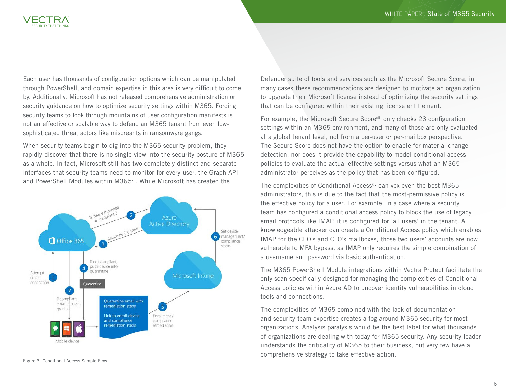

Each user has thousands of configuration options which can be manipulated through PowerShell, and domain expertise in this area is very difficult to come by. Additionally, Microsoft has not released comprehensive administration or security guidance on how to optimize security settings within M365. Forcing security teams to look through mountains of user configuration manifests is not an effective or scalable way to defend an M365 tenant from even lowsophisticated threat actors like miscreants in ransomware gangs.

When security teams begin to dig into the M365 security problem, they rapidly discover that there is no single-view into the security posture of M365 as a whole. In fact, Microsoft still has two completely distinct and separate interfaces that security teams need to monitor for every user, the Graph API and PowerShell Modules within M365<sup>xii</sup>. While Microsoft has created the



Figure 3: Conditional Access Sample Flow

Defender suite of tools and services such as the Microsoft Secure Score, in many cases these recommendations are designed to motivate an organization to upgrade their Microsoft license instead of optimizing the security settings that can be configured within their existing license entitlement.

For example, the Microsoft Secure Score<sup>xiii</sup> only checks 23 configuration settings within an M365 environment, and many of those are only evaluated at a global tenant level, not from a per-user or per-mailbox perspective. The Secure Score does not have the option to enable for material change detection, nor does it provide the capability to model conditional access policies to evaluate the actual effective settings versus what an M365 administrator perceives as the policy that has been configured.

The complexities of Conditional Access<sup>xiv</sup> can vex even the best M365 administrators, this is due to the fact that the most-permissive policy is the effective policy for a user. For example, in a case where a security team has configured a conditional access policy to block the use of legacy email protocols like IMAP, it is configured for 'all users' in the tenant. A knowledgeable attacker can create a Conditional Access policy which enables IMAP for the CEO's and CFO's mailboxes, those two users' accounts are now vulnerable to MFA bypass, as IMAP only requires the simple combination of a username and password via basic authentication.

The M365 PowerShell Module integrations within Vectra Protect facilitate the only scan specifically designed for managing the complexities of Conditional Access policies within Azure AD to uncover identity vulnerabilities in cloud tools and connections.

The complexities of M365 combined with the lack of documentation and security team expertise creates a fog around M365 security for most organizations. Analysis paralysis would be the best label for what thousands of organizations are dealing with today for M365 security. Any security leader understands the criticality of M365 to their business, but very few have a comprehensive strategy to take effective action.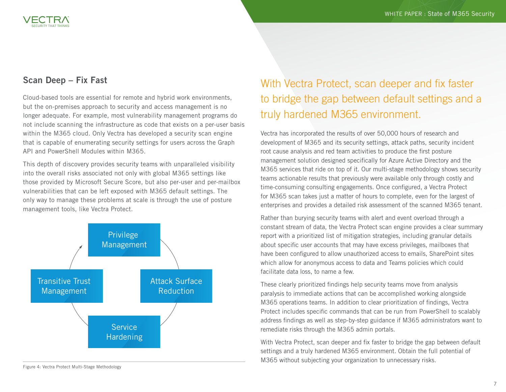### Scan Deep – Fix Fast

Cloud-based tools are essential for remote and hybrid work environments, but the on-premises approach to security and access management is no longer adequate. For example, most vulnerability management programs do not include scanning the infrastructure as code that exists on a per-user basis within the M365 cloud. Only Vectra has developed a security scan engine that is capable of enumerating security settings for users across the Graph API and PowerShell Modules within M365.

This depth of discovery provides security teams with unparalleled visibility into the overall risks associated not only with global M365 settings like those provided by Microsoft Secure Score, but also per-user and per-mailbox vulnerabilities that can be left exposed with M365 default settings. The only way to manage these problems at scale is through the use of posture management tools, like Vectra Protect.



With Vectra Protect, scan deeper and fix faster to bridge the gap between default settings and a truly hardened M365 environment.

Vectra has incorporated the results of over 50,000 hours of research and development of M365 and its security settings, attack paths, security incident root cause analysis and red team activities to produce the first posture management solution designed specifically for Azure Active Directory and the M365 services that ride on top of it. Our multi-stage methodology shows security teams actionable results that previously were available only through costly and time-consuming consulting engagements. Once configured, a Vectra Protect for M365 scan takes just a matter of hours to complete, even for the largest of enterprises and provides a detailed risk assessment of the scanned M365 tenant.

Rather than burying security teams with alert and event overload through a constant stream of data, the Vectra Protect scan engine provides a clear summary report with a prioritized list of mitigation strategies, including granular details about specific user accounts that may have excess privileges, mailboxes that have been configured to allow unauthorized access to emails, SharePoint sites which allow for anonymous access to data and Teams policies which could facilitate data loss, to name a few.

These clearly prioritized findings help security teams move from analysis paralysis to immediate actions that can be accomplished working alongside M365 operations teams. In addition to clear prioritization of findings, Vectra Protect includes specific commands that can be run from PowerShell to scalably address findings as well as step-by-step guidance if M365 administrators want to remediate risks through the M365 admin portals.

With Vectra Protect, scan deeper and fix faster to bridge the gap between default settings and a truly hardened M365 environment. Obtain the full potential of M365 without subjecting your organization to unnecessary risks.

Figure 4: Vectra Protect Multi-Stage Methodology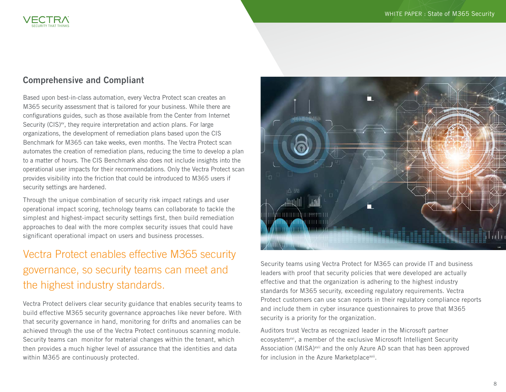

#### Comprehensive and Compliant

Based upon best-in-class automation, every Vectra Protect scan creates an M365 security assessment that is tailored for your business. While there are configurations guides, such as those available from the Center from Internet Security ( $CIS$ )<sup>xv</sup>, they require interpretation and action plans. For large organizations, the development of remediation plans based upon the CIS Benchmark for M365 can take weeks, even months. The Vectra Protect scan automates the creation of remediation plans, reducing the time to develop a plan to a matter of hours. The CIS Benchmark also does not include insights into the operational user impacts for their recommendations. Only the Vectra Protect scan provides visibility into the friction that could be introduced to M365 users if security settings are hardened.

Through the unique combination of security risk impact ratings and user operational impact scoring, technology teams can collaborate to tackle the simplest and highest-impact security settings first, then build remediation approaches to deal with the more complex security issues that could have significant operational impact on users and business processes.

## Vectra Protect enables effective M365 security governance, so security teams can meet and the highest industry standards.

Vectra Protect delivers clear security guidance that enables security teams to build effective M365 security governance approaches like never before. With that security governance in hand, monitoring for drifts and anomalies can be achieved through the use of the Vectra Protect continuous scanning module. Security teams can monitor for material changes within the tenant, which then provides a much higher level of assurance that the identities and data within M365 are continuously protected.



Security teams using Vectra Protect for M365 can provide IT and business leaders with proof that security policies that were developed are actually effective and that the organization is adhering to the highest industry standards for M365 security, exceeding regulatory requirements. Vectra Protect customers can use scan reports in their regulatory compliance reports and include them in cyber insurance questionnaires to prove that M365 security is a priority for the organization.

Auditors trust Vectra as recognized leader in the Microsoft partner ecosystem<sup>xvi</sup>, a member of the exclusive Microsoft Intelligent Security Association (MISA)<sup>xvii</sup> and the only Azure AD scan that has been approved for inclusion in the Azure Marketplacexvii.